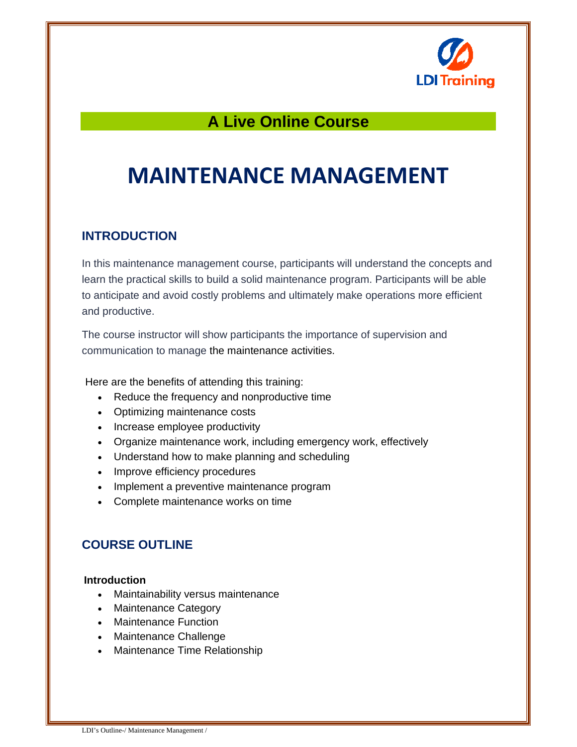

## **A Live Online Course**

# **MAINTENANCE MANAGEMENT**

## **INTRODUCTION**

In this maintenance management course, participants will understand the concepts and learn the practical skills to build a solid maintenance program. Participants will be able to anticipate and avoid costly problems and ultimately make operations more efficient and productive.

The course instructor will show participants the importance of supervision and communication to manage the maintenance activities.

Here are the benefits of attending this training:

- Reduce the frequency and nonproductive time
- Optimizing maintenance costs
- Increase employee productivity
- Organize maintenance work, including emergency work, effectively
- Understand how to make planning and scheduling
- Improve efficiency procedures
- Implement a preventive maintenance program
- Complete maintenance works on time

## **COURSE OUTLINE**

#### **Introduction**

- Maintainability versus maintenance
- Maintenance Category
- Maintenance Function
- Maintenance Challenge
- Maintenance Time Relationship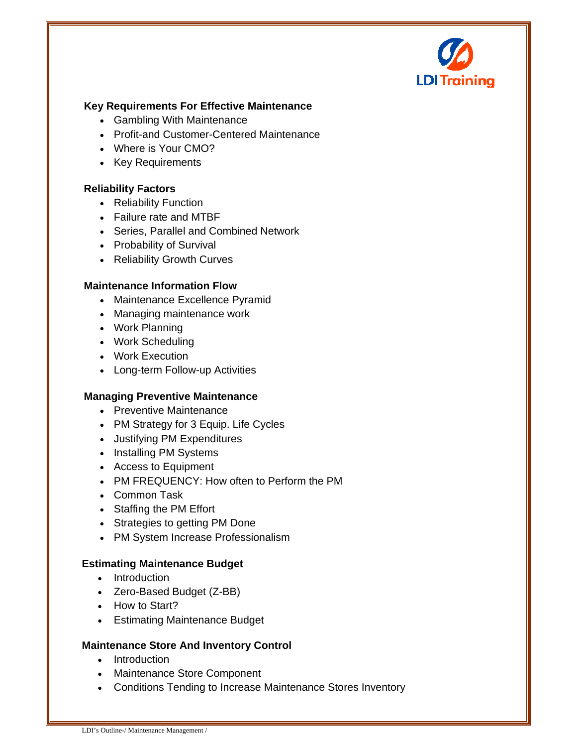

#### **Key Requirements For Effective Maintenance**

- Gambling With Maintenance
- Profit-and Customer-Centered Maintenance
- Where is Your CMO?
- Key Requirements

#### **Reliability Factors**

- Reliability Function
- Failure rate and MTBF
- Series, Parallel and Combined Network
- Probability of Survival
- Reliability Growth Curves

#### **Maintenance Information Flow**

- Maintenance Excellence Pyramid
- Managing maintenance work
- Work Planning
- Work Scheduling
- Work Execution
- Long-term Follow-up Activities

#### **Managing Preventive Maintenance**

- Preventive Maintenance
- PM Strategy for 3 Equip. Life Cycles
- Justifying PM Expenditures
- Installing PM Systems
- Access to Equipment
- PM FREQUENCY: How often to Perform the PM
- Common Task
- Staffing the PM Effort
- Strategies to getting PM Done
- PM System Increase Professionalism

#### **Estimating Maintenance Budget**

- Introduction
- Zero-Based Budget (Z-BB)
- How to Start?
- Estimating Maintenance Budget

#### **Maintenance Store And Inventory Control**

- Introduction
- Maintenance Store Component
- Conditions Tending to Increase Maintenance Stores Inventory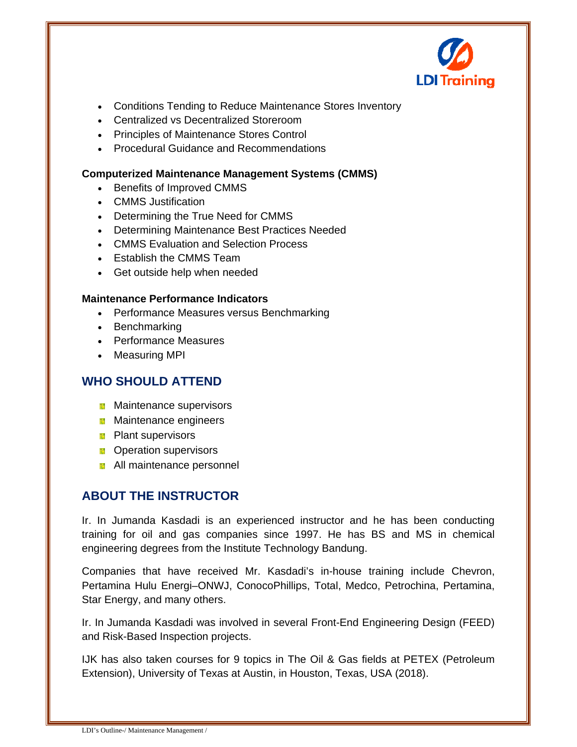

- Conditions Tending to Reduce Maintenance Stores Inventory
- Centralized vs Decentralized Storeroom
- Principles of Maintenance Stores Control
- Procedural Guidance and Recommendations

#### **Computerized Maintenance Management Systems (CMMS)**

- Benefits of Improved CMMS
- CMMS Justification
- Determining the True Need for CMMS
- Determining Maintenance Best Practices Needed
- CMMS Evaluation and Selection Process
- Establish the CMMS Team
- Get outside help when needed

#### **Maintenance Performance Indicators**

- Performance Measures versus Benchmarking
- Benchmarking
- Performance Measures
- Measuring MPI

## **WHO SHOULD ATTEND**

- **Maintenance supervisors**
- **Maintenance engineers**
- **Plant supervisors**
- **D** Operation supervisors
- **All maintenance personnel**

## **ABOUT THE INSTRUCTOR**

Ir. In Jumanda Kasdadi is an experienced instructor and he has been conducting training for oil and gas companies since 1997. He has BS and MS in chemical engineering degrees from the Institute Technology Bandung.

Companies that have received Mr. Kasdadi's in-house training include Chevron, Pertamina Hulu Energi–ONWJ, ConocoPhillips, Total, Medco, Petrochina, Pertamina, Star Energy, and many others.

Ir. In Jumanda Kasdadi was involved in several Front-End Engineering Design (FEED) and Risk-Based Inspection projects.

IJK has also taken courses for 9 topics in The Oil & Gas fields at PETEX (Petroleum Extension), University of Texas at Austin, in Houston, Texas, USA (2018).